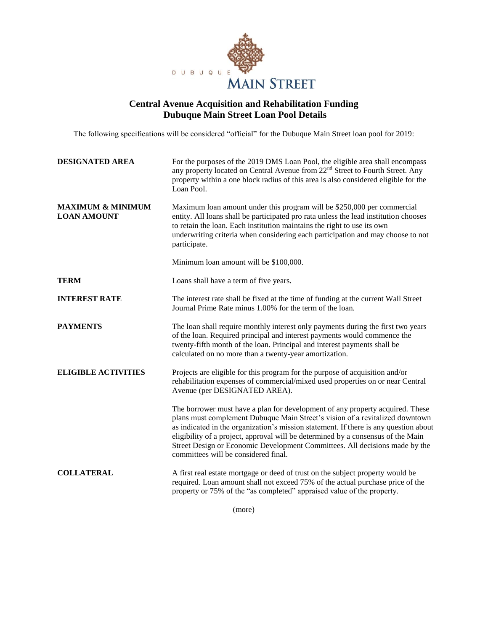

## **Central Avenue Acquisition and Rehabilitation Funding Dubuque Main Street Loan Pool Details**

The following specifications will be considered "official" for the Dubuque Main Street loan pool for 2019:

| <b>DESIGNATED AREA</b>                             | For the purposes of the 2019 DMS Loan Pool, the eligible area shall encompass<br>any property located on Central Avenue from 22 <sup>nd</sup> Street to Fourth Street. Any<br>property within a one block radius of this area is also considered eligible for the<br>Loan Pool.                                                                                                                                                                                  |
|----------------------------------------------------|------------------------------------------------------------------------------------------------------------------------------------------------------------------------------------------------------------------------------------------------------------------------------------------------------------------------------------------------------------------------------------------------------------------------------------------------------------------|
| <b>MAXIMUM &amp; MINIMUM</b><br><b>LOAN AMOUNT</b> | Maximum loan amount under this program will be \$250,000 per commercial<br>entity. All loans shall be participated pro rata unless the lead institution chooses<br>to retain the loan. Each institution maintains the right to use its own<br>underwriting criteria when considering each participation and may choose to not<br>participate.                                                                                                                    |
|                                                    | Minimum loan amount will be \$100,000.                                                                                                                                                                                                                                                                                                                                                                                                                           |
| <b>TERM</b>                                        | Loans shall have a term of five years.                                                                                                                                                                                                                                                                                                                                                                                                                           |
| <b>INTEREST RATE</b>                               | The interest rate shall be fixed at the time of funding at the current Wall Street<br>Journal Prime Rate minus 1.00% for the term of the loan.                                                                                                                                                                                                                                                                                                                   |
| <b>PAYMENTS</b>                                    | The loan shall require monthly interest only payments during the first two years<br>of the loan. Required principal and interest payments would commence the<br>twenty-fifth month of the loan. Principal and interest payments shall be<br>calculated on no more than a twenty-year amortization.                                                                                                                                                               |
| <b>ELIGIBLE ACTIVITIES</b>                         | Projects are eligible for this program for the purpose of acquisition and/or<br>rehabilitation expenses of commercial/mixed used properties on or near Central<br>Avenue (per DESIGNATED AREA).                                                                                                                                                                                                                                                                  |
|                                                    | The borrower must have a plan for development of any property acquired. These<br>plans must complement Dubuque Main Street's vision of a revitalized downtown<br>as indicated in the organization's mission statement. If there is any question about<br>eligibility of a project, approval will be determined by a consensus of the Main<br>Street Design or Economic Development Committees. All decisions made by the<br>committees will be considered final. |
| <b>COLLATERAL</b>                                  | A first real estate mortgage or deed of trust on the subject property would be<br>required. Loan amount shall not exceed 75% of the actual purchase price of the<br>property or 75% of the "as completed" appraised value of the property.                                                                                                                                                                                                                       |

(more)